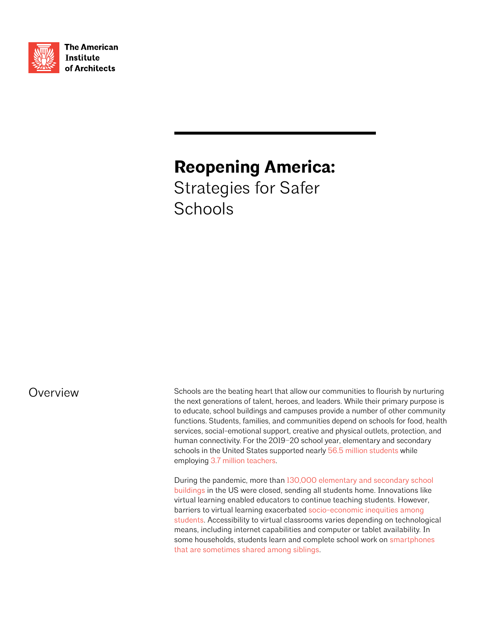

**The American Institute** of Architects

# **Reopening America:**

Strategies for Safer **Schools** 

**Overview** 

Schools are the beating heart that allow our communities to flourish by nurturing the next generations of talent, heroes, and leaders. While their primary purpose is to educate, school buildings and campuses provide a number of other community functions. Students, families, and communities depend on schools for food, health services, social-emotional support, creative and physical outlets, protection, and human connectivity. For the 2019–20 school year, elementary and secondary schools in the United States supported nearly [56.5 million students](https://nces.ed.gov/programs/digest/d18/tables/dt18_105.20.asp) while employing [3.7 million teachers.](https://nces.ed.gov/programs/digest/d18/tables/dt18_208.20.asp)

During the pandemic, more than [130,000 elementary and secondary school](https://educationdata.org/number-of-public-schools/)  [buildings](https://educationdata.org/number-of-public-schools/) in the US were closed, sending all students home. Innovations like virtual learning enabled educators to continue teaching students. However, barriers to virtual learning exacerbated socio-economic inequities among [st](https://www.hrw.org/news/2020/04/09/covid-19s-devastating-impact-children)udents. Accessibility to virtual classrooms varies depending on technological means, including internet capabilities and computer or tablet availability. In some households, students learn and complete school work on [smartphones](https://www.nytimes.com/2020/03/13/us/virtual-learning-challenges.html)  [that are sometimes shared among siblings](https://www.nytimes.com/2020/03/13/us/virtual-learning-challenges.html).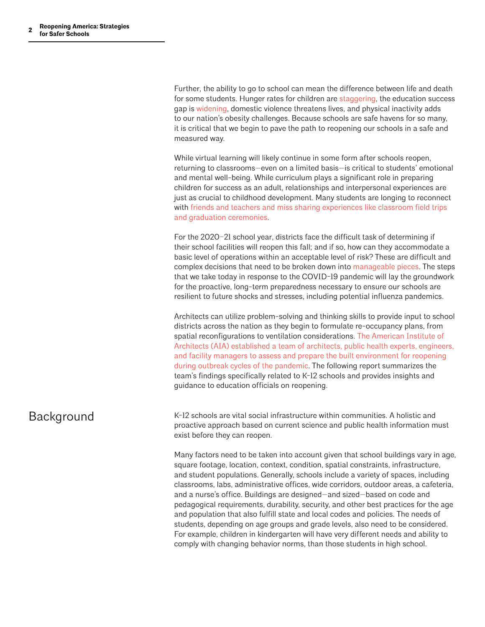Further, the ability to go to school can mean the difference between life and death for some students. Hunger rates for children are [staggering,](https://www.nytimes.com/2020/05/26/us/politics/child-hunger-coronavirus.html) the education success gap is [widening,](https://www.washingtonpost.com/local/education/online-learning-summer-school-coronavirus/2020/04/11/de11c278-7adc-11ea-a130-df573469f094_story.html) domestic violence threatens lives, and physical inactivity adds to our nation's obesity challenges. Because schools are safe havens for so many, it is critical that we begin to pave the path to reopening our schools in a safe and measured way.

While virtual learning will likely continue in some form after schools reopen, returning to classrooms—even on a limited basis—is critical to students' emotional and mental well-being. While curriculum plays a significant role in preparing children for success as an adult, relationships and interpersonal experiences are just as crucial to childhood development. Many students are longing to reconnect with friends and teachers and miss sharing experiences like classroom field trips [and graduation ceremonies.](https://www.nytimes.com/2020/04/14/us/school-at-home-students-coronavirus.html)

For the 2020–21 school year, districts face the difficult task of determining if their school facilities will reopen this fall; and if so, how can they accommodate a basic level of operations within an acceptable level of risk? These are difficult and complex decisions that need to be broken down into [manageable pieces.](https://www.aia.org/resources/6299432-risk-management-plan-for-buildings?editing=true&tools=true) The steps that we take today in response to the COVID-19 pandemic will lay the groundwork for the proactive, long-term preparedness necessary to ensure our schools are resilient to future shocks and stresses, including potential influenza pandemics.

Architects can utilize problem-solving and thinking skills to provide input to school districts across the nation as they begin to formulate re-occupancy plans, from spatial reconfigurations to ventilation considerations. The American Institute of [Architects \(AIA\) established a team of architects, public health experts, engineers,](http://content.aia.org/sites/default/files/2020-06/Reopening-America-Strategies-for-Safer-Buildings_final.pdf)  [and facility managers to assess and prepare the built environment for reopening](http://content.aia.org/sites/default/files/2020-06/Reopening-America-Strategies-for-Safer-Buildings_final.pdf)  [during outbreak cycles of the pandemic](http://content.aia.org/sites/default/files/2020-06/Reopening-America-Strategies-for-Safer-Buildings_final.pdf). The following report summarizes the team's findings specifically related to K-12 schools and provides insights and guidance to education officials on reopening.

### Background

K-12 schools are vital social infrastructure within communities. A holistic and proactive approach based on current science and public health information must exist before they can reopen.

Many factors need to be taken into account given that school buildings vary in age, square footage, location, context, condition, spatial constraints, infrastructure, and student populations. Generally, schools include a variety of spaces, including classrooms, labs, administrative offices, wide corridors, outdoor areas, a cafeteria, and a nurse's office. Buildings are designed—and sized—based on code and pedagogical requirements, durability, security, and other best practices for the age and population that also fulfill state and local codes and policies. The needs of students, depending on age groups and grade levels, also need to be considered. For example, children in kindergarten will have very different needs and ability to comply with changing behavior norms, than those students in high school.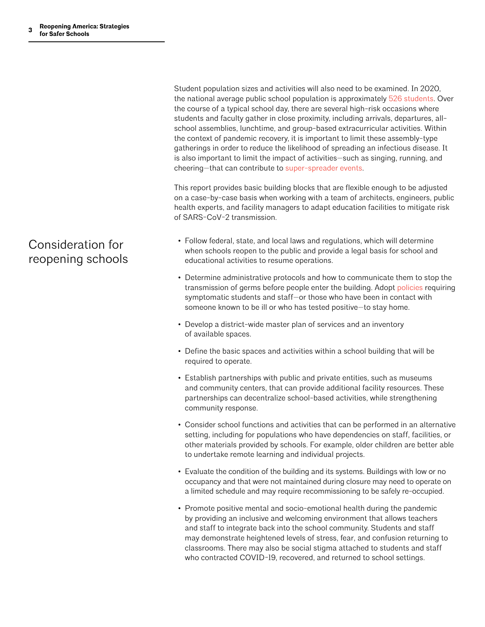Student population sizes and activities will also need to be examined. In 2020, the national average public school population is approximately [526 students](https://www.publicschoolreview.com/average-school-size-stats/national-data). Over the course of a typical school day, there are several high-risk occasions where students and faculty gather in close proximity, including arrivals, departures, allschool assemblies, lunchtime, and group-based extracurricular activities. Within the context of pandemic recovery, it is important to limit these assembly-type gatherings in order to reduce the likelihood of spreading an infectious disease. It is also important to limit the impact of activities—such as singing, running, and cheering—that can contribute to [super-spreader events](https://wwwnc.cdc.gov/eid/article/26/6/20-0495_article).

This report provides basic building blocks that are flexible enough to be adjusted on a case-by-case basis when working with a team of architects, engineers, public health experts, and facility managers to adapt education facilities to mitigate risk of SARS-CoV-2 transmission.

- Follow federal, state, and local laws and regulations, which will determine when schools reopen to the public and provide a legal basis for school and educational activities to resume operations.
	- Determine administrative protocols and how to communicate them to stop the transmission of germs before people enter the building. Adopt [policies](https://www.cdc.gov/coronavirus/2019-ncov/community/schools-childcare/guidance-for-schools.html) requiring symptomatic students and staff—or those who have been in contact with someone known to be ill or who has tested positive—to stay home.
	- Develop a district-wide master plan of services and an inventory of available spaces.
	- Define the basic spaces and activities within a school building that will be required to operate.
	- Establish partnerships with public and private entities, such as museums and community centers, that can provide additional facility resources. These partnerships can decentralize school-based activities, while strengthening community response.
	- Consider school functions and activities that can be performed in an alternative setting, including for populations who have dependencies on staff, facilities, or other materials provided by schools. For example, older children are better able to undertake remote learning and individual projects.
	- Evaluate the condition of the building and its systems. Buildings with low or no occupancy and that were not maintained during closure may need to operate on a limited schedule and may require recommissioning to be safely re-occupied.
	- Promote positive mental and socio-emotional health during the pandemic by providing an inclusive and welcoming environment that allows teachers and staff to integrate back into the school community. Students and staff may demonstrate heightened levels of stress, fear, and confusion returning to classrooms. There may also be social stigma attached to students and staff who contracted COVID-19, recovered, and returned to school settings.

### Consideration for reopening schools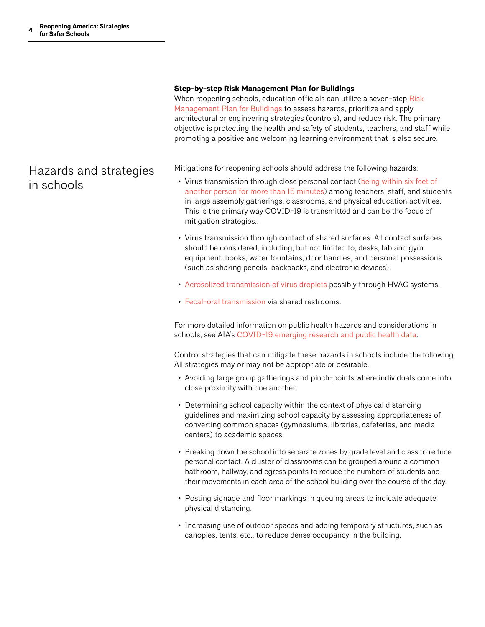#### **Step-by-step Risk Management Plan for Buildings**

When reopening schools, education officials can utilize a seven-step Risk [Management Plan for Buildings](https://www.aia.org/resources/6299432-risk-management-plan-for-buildings?editing=true&tools=true) to assess hazards, prioritize and apply architectural or engineering strategies (controls), and reduce risk. The primary objective is protecting the health and safety of students, teachers, and staff while promoting a positive and welcoming learning environment that is also secure.

Mitigations for reopening schools should address the following hazards:

- Virus transmission through close personal contact (being within six feet of [another person for more than 15 minutes](https://www.cdc.gov/coronavirus/2019-ncov/php/public-health-recommendations.html)) among teachers, staff, and students in large assembly gatherings, classrooms, and physical education activities. This is the primary way COVID-19 is transmitted and can be the focus of mitigation strategies..
- Virus transmission through contact of shared surfaces. All contact surfaces should be considered, including, but not limited to, desks, lab and gym equipment, books, water fountains, door handles, and personal possessions (such as sharing pencils, backpacks, and electronic devices).
- [Aerosolized transmission of virus droplets](https://www.ashrae.org/about/news/2020/ashrae-issues-statements-on-relationship-between-covid-19-and-hvac-in-buildings) possibly through HVAC systems.
- [Fecal-oral transmission](https://www.ncbi.nlm.nih.gov/pmc/articles/PMC7141637/) via shared restrooms.

For more detailed information on public health hazards and considerations in schools, see AIA's [COVID-19 emerging research and public health data](http://content.aia.org/sites/default/files/2020-06/AIA_Public_Health_Briefing.pdf).

Control strategies that can mitigate these hazards in schools include the following. All strategies may or may not be appropriate or desirable.

- Avoiding large group gatherings and pinch-points where individuals come into close proximity with one another.
- Determining school capacity within the context of physical distancing guidelines and maximizing school capacity by assessing appropriateness of converting common spaces (gymnasiums, libraries, cafeterias, and media centers) to academic spaces.
- Breaking down the school into separate zones by grade level and class to reduce personal contact. A cluster of classrooms can be grouped around a common bathroom, hallway, and egress points to reduce the numbers of students and their movements in each area of the school building over the course of the day.
- Posting signage and floor markings in queuing areas to indicate adequate physical distancing.
- Increasing use of outdoor spaces and adding temporary structures, such as canopies, tents, etc., to reduce dense occupancy in the building.

### Hazards and strategies in schools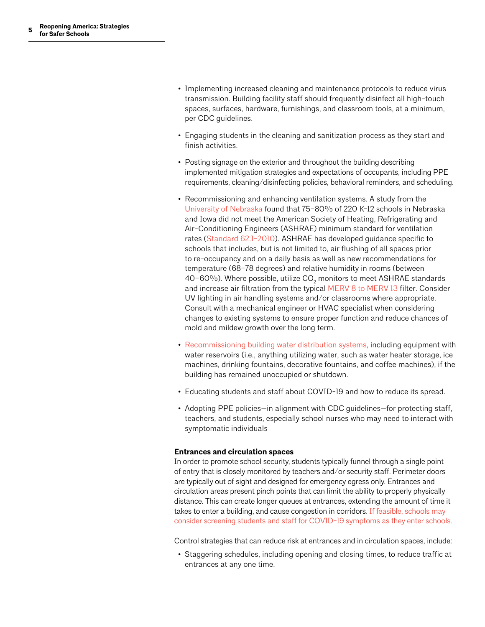- Implementing increased cleaning and maintenance protocols to reduce virus transmission. Building facility staff should frequently disinfect all high-touch spaces, surfaces, hardware, furnishings, and classroom tools, at a minimum, per CDC guidelines.
- Engaging students in the cleaning and sanitization process as they start and finish activities.
- Posting signage on the exterior and throughout the building describing implemented mitigation strategies and expectations of occupants, including PPE requirements, cleaning/disinfecting policies, behavioral reminders, and scheduling.
- Recommissioning and enhancing ventilation systems. A study from the [University of Nebraska](https://research.unl.edu/annualreport/2015/assessing-school-environment-and-student-performance/) found that 75–80% of 220 K-12 schools in Nebraska and Iowa did not meet the American Society of Heating, Refrigerating and Air-Conditioning Engineers (ASHRAE) minimum standard for ventilation rates [\(Standard 62.1-2010](http://arco-hvac.ir/wp-content/uploads/2016/04/ASHRAE-62_1-2010.pdf)). ASHRAE has developed guidance specific to schools that includes, but is not limited to, air flushing of all spaces prior to re-occupancy and on a daily basis as well as new recommendations for temperature (68–78 degrees) and relative humidity in rooms (between 40–60%). Where possible, utilize CO $_{\rm 2}$  monitors to meet ASHRAE standards and increase air filtration from the typical [MERV 8 to MERV 13](http://arco-hvac.ir/wp-content/uploads/2016/04/ASHRAE-62_1-2010.pdf) filter. Consider UV lighting in air handling systems and/or classrooms where appropriate. Consult with a mechanical engineer or HVAC specialist when considering changes to existing systems to ensure proper function and reduce chances of mold and mildew growth over the long term.
- [Recommissioning building water distribution systems,](https://aiha-assets.sfo2.digitaloceanspaces.com/AIHA/resources/Public-Resources/RecoveringFromCOVID-19BuildingClosures_GuidanceDocument.FINAL.pdf) including equipment with water reservoirs (i.e., anything utilizing water, such as water heater storage, ice machines, drinking fountains, decorative fountains, and coffee machines), if the building has remained unoccupied or shutdown.
- Educating students and staff about COVID-19 and how to reduce its spread.
- Adopting PPE policies—in alignment with CDC guidelines—for protecting staff, teachers, and students, especially school nurses who may need to interact with symptomatic individuals

#### **Entrances and circulation spaces**

In order to promote school security, students typically funnel through a single point of entry that is closely monitored by teachers and/or security staff. Perimeter doors are typically out of sight and designed for emergency egress only. Entrances and circulation areas present pinch points that can limit the ability to properly physically distance. This can create longer queues at entrances, extending the amount of time it takes to enter a building, and cause congestion in corridors. If feasible, schools may [consider screening students and staff for COVID-19 symptoms as they enter schools.](https://www.cdc.gov/coronavirus/2019-ncov/community/schools-childcare/schools.html)

Control strategies that can reduce risk at entrances and in circulation spaces, include:

• Staggering schedules, including opening and closing times, to reduce traffic at entrances at any one time.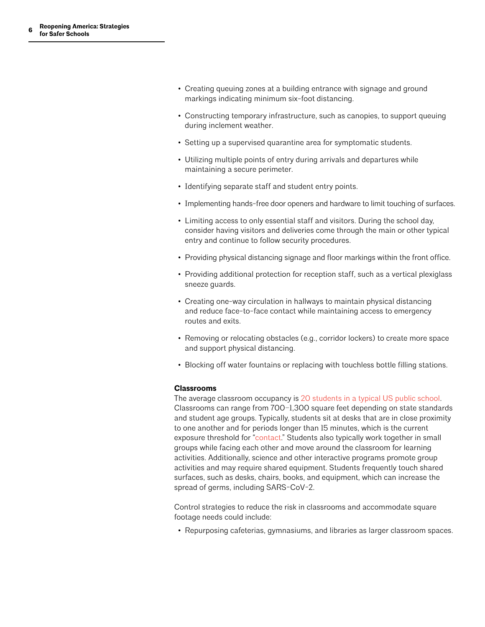- Creating queuing zones at a building entrance with signage and ground markings indicating minimum six-foot distancing.
- Constructing temporary infrastructure, such as canopies, to support queuing during inclement weather.
- Setting up a supervised quarantine area for symptomatic students.
- Utilizing multiple points of entry during arrivals and departures while maintaining a secure perimeter.
- Identifying separate staff and student entry points.
- Implementing hands-free door openers and hardware to limit touching of surfaces.
- Limiting access to only essential staff and visitors. During the school day, consider having visitors and deliveries come through the main or other typical entry and continue to follow security procedures.
- Providing physical distancing signage and floor markings within the front office.
- Providing additional protection for reception staff, such as a vertical plexiglass sneeze guards.
- Creating one-way circulation in hallways to maintain physical distancing and reduce face-to-face contact while maintaining access to emergency routes and exits.
- Removing or relocating obstacles (e.g., corridor lockers) to create more space and support physical distancing.
- Blocking off water fountains or replacing with touchless bottle filling stations.

#### **Classrooms**

The average classroom occupancy is [20 students in a typical US public school.](https://stats.oecd.org/Index.aspx?DataSetCode=EDU_CLASS) Classrooms can range from 700–1,300 square feet depending on state standards and student age groups. Typically, students sit at desks that are in close proximity to one another and for periods longer than 15 minutes, which is the current exposure threshold for ["contact.](https://www.cdc.gov/coronavirus/2019-ncov/php/public-health-recommendations.html)" Students also typically work together in small groups while facing each other and move around the classroom for learning activities. Additionally, science and other interactive programs promote group activities and may require shared equipment. Students frequently touch shared surfaces, such as desks, chairs, books, and equipment, which can increase the spread of germs, including SARS-CoV-2.

Control strategies to reduce the risk in classrooms and accommodate square footage needs could include:

• Repurposing cafeterias, gymnasiums, and libraries as larger classroom spaces.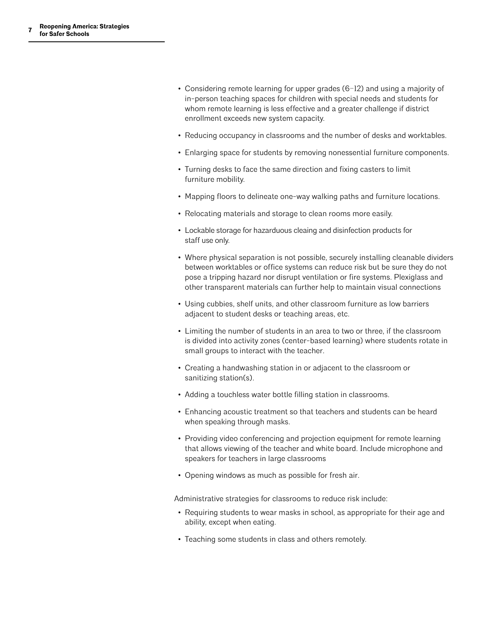- Considering remote learning for upper grades (6–12) and using a majority of in-person teaching spaces for children with special needs and students for whom remote learning is less effective and a greater challenge if district enrollment exceeds new system capacity.
- Reducing occupancy in classrooms and the number of desks and worktables.
- Enlarging space for students by removing nonessential furniture components.
- Turning desks to face the same direction and fixing casters to limit furniture mobility.
- Mapping floors to delineate one-way walking paths and furniture locations.
- Relocating materials and storage to clean rooms more easily.
- Lockable storage for hazarduous cleaing and disinfection products for staff use only.
- Where physical separation is not possible, securely installing cleanable dividers between worktables or office systems can reduce risk but be sure they do not pose a tripping hazard nor disrupt ventilation or fire systems. Plexiglass and other transparent materials can further help to maintain visual connections
- Using cubbies, shelf units, and other classroom furniture as low barriers adjacent to student desks or teaching areas, etc.
- Limiting the number of students in an area to two or three, if the classroom is divided into activity zones (center-based learning) where students rotate in small groups to interact with the teacher.
- Creating a handwashing station in or adjacent to the classroom or sanitizing station(s).
- Adding a touchless water bottle filling station in classrooms.
- Enhancing acoustic treatment so that teachers and students can be heard when speaking through masks.
- Providing video conferencing and projection equipment for remote learning that allows viewing of the teacher and white board. Include microphone and speakers for teachers in large classrooms
- Opening windows as much as possible for fresh air.

Administrative strategies for classrooms to reduce risk include:

- Requiring students to wear masks in school, as appropriate for their age and ability, except when eating.
- Teaching some students in class and others remotely.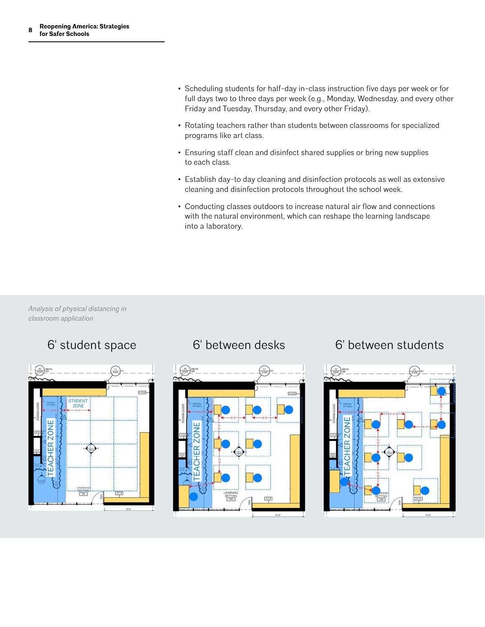- Scheduling students for half-day in-class instruction five days per week or for full days two to three days per week (e.g., Monday, Wednesday, and every other Friday and Tuesday, Thursday, and every other Friday).
- Rotating teachers rather than students between classrooms for specialized programs like art class.
- Ensuring staff clean and disinfect shared supplies or bring new supplies to each class.
- Establish day-to day cleaning and disinfection protocols as well as extensive cleaning and disinfection protocols throughout the school week.
- Conducting classes outdoors to increase natural air flow and connections with the natural environment, which can reshape the learning landscape into a laboratory.

*Analysis of physical distancing in classroom application* 





### 6' student space 6' between desks 6' between students

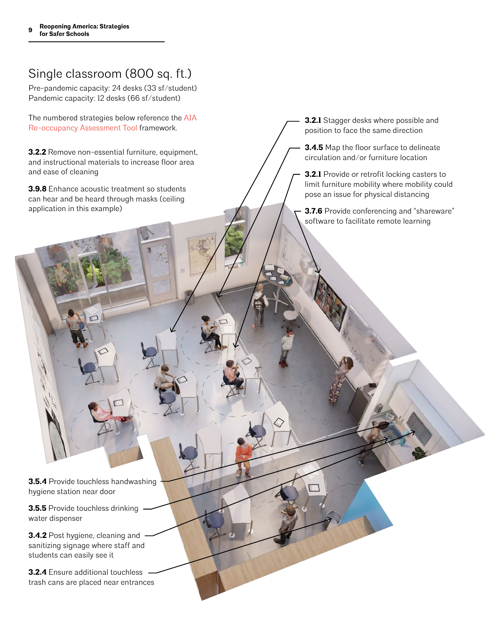## Single classroom (800 sq. ft.)

Pre-pandemic capacity: 24 desks (33 sf/student) Pandemic capacity: 12 desks (66 sf/student)

The numbered strategies below reference the [AIA](https://www.aia.org/resources/6292441-re-occupancy-assessment-tool)  [Re-occupancy Assessment](https://www.aia.org/resources/6292441-re-occupancy-assessment-tool) Tool framework.

**3.2.2** Remove non-essential furniture, equipment, and instructional materials to increase floor area and ease of cleaning

**3.9.8** Enhance acoustic treatment so students can hear and be heard through masks (ceiling application in this example)

**3.2.1** Stagger desks where possible and position to face the same direction

**3.4.5** Map the floor surface to delineate circulation and/or furniture location

**3.2.1** Provide or retrofit locking casters to limit furniture mobility where mobility could pose an issue for physical distancing

**3.7.6** Provide conferencing and "shareware" software to facilitate remote learning

**3.5.4** Provide touchless handwashing hygiene station near door

**3.5.5** Provide touchless drinking water dispenser

**3.4.2** Post hygiene, cleaning and sanitizing signage where staff and students can easily see it

**3.2.4** Ensure additional touchless trash cans are placed near entrances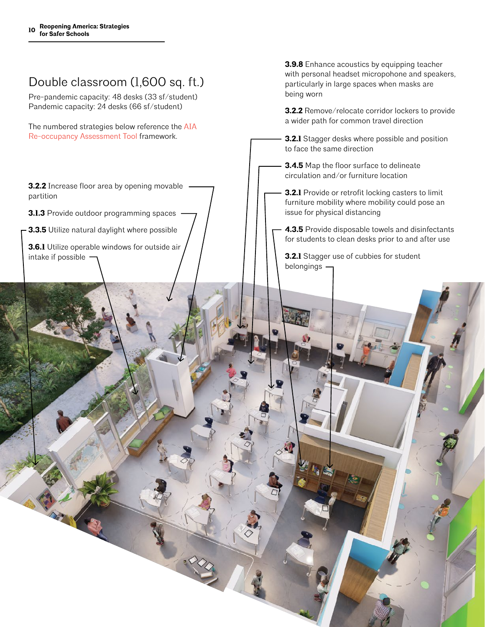## Double classroom (1,600 sq. ft.)

Pre-pandemic capacity: 48 desks (33 sf/student) Pandemic capacity: 24 desks (66 sf/student)

The numbered strategies below reference the [AIA](https://www.aia.org/resources/6292441-re-occupancy-assessment-tool)  [Re-occupancy Assessment](https://www.aia.org/resources/6292441-re-occupancy-assessment-tool) Tool framework.

**3.2.2** Increase floor area by opening movable partition

**3.1.3** Provide outdoor programming spaces

**3.3.5** Utilize natural daylight where possible

**3.6.1** Utilize operable windows for outside air intake if possible

**3.9.8** Enhance acoustics by equipping teacher with personal headset micropohone and speakers, particularly in large spaces when masks are being worn

**3.2.2** Remove/relocate corridor lockers to provide a wider path for common travel direction

**3.2.1** Stagger desks where possible and position to face the same direction

**3.4.5** Map the floor surface to delineate circulation and/or furniture location

**3.2.1** Provide or retrofit locking casters to limit furniture mobility where mobility could pose an issue for physical distancing

**4.3.5** Provide disposable towels and disinfectants for students to clean desks prior to and after use

**3.2.1** Stagger use of cubbies for student belongings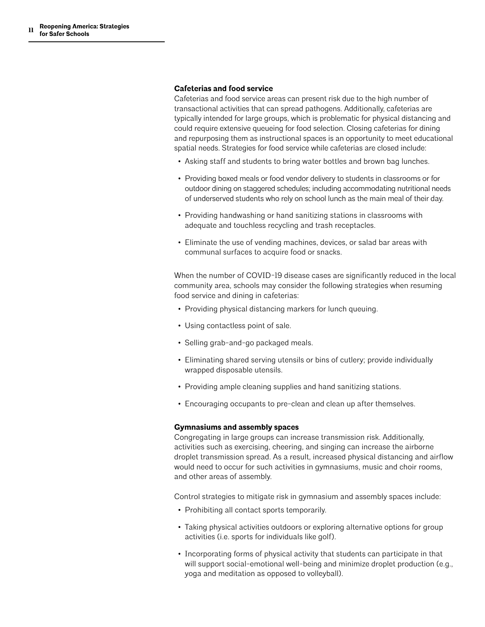#### **Cafeterias and food service**

Cafeterias and food service areas can present risk due to the high number of transactional activities that can spread pathogens. Additionally, cafeterias are typically intended for large groups, which is problematic for physical distancing and could require extensive queueing for food selection. Closing cafeterias for dining and repurposing them as instructional spaces is an opportunity to meet educational spatial needs. Strategies for food service while cafeterias are closed include:

- Asking staff and students to bring water bottles and brown bag lunches.
- Providing boxed meals or food vendor delivery to students in classrooms or for outdoor dining on staggered schedules; including accommodating nutritional needs of underserved students who rely on school lunch as the main meal of their day.
- Providing handwashing or hand sanitizing stations in classrooms with adequate and touchless recycling and trash receptacles.
- Eliminate the use of vending machines, devices, or salad bar areas with communal surfaces to acquire food or snacks.

When the number of COVID-19 disease cases are significantly reduced in the local community area, schools may consider the following strategies when resuming food service and dining in cafeterias:

- Providing physical distancing markers for lunch queuing.
- Using contactless point of sale.
- Selling grab-and-go packaged meals.
- Eliminating shared serving utensils or bins of cutlery; provide individually wrapped disposable utensils.
- Providing ample cleaning supplies and hand sanitizing stations.
- Encouraging occupants to pre-clean and clean up after themselves.

#### **Gymnasiums and assembly spaces**

Congregating in large groups can increase transmission risk. Additionally, activities such as exercising, cheering, and singing can increase the airborne droplet transmission spread. As a result, increased physical distancing and airflow would need to occur for such activities in gymnasiums, music and choir rooms, and other areas of assembly.

Control strategies to mitigate risk in gymnasium and assembly spaces include:

- Prohibiting all contact sports temporarily.
- Taking physical activities outdoors or exploring alternative options for group activities (i.e. sports for individuals like golf).
- Incorporating forms of physical activity that students can participate in that will support social-emotional well-being and minimize droplet production (e.g., yoga and meditation as opposed to volleyball).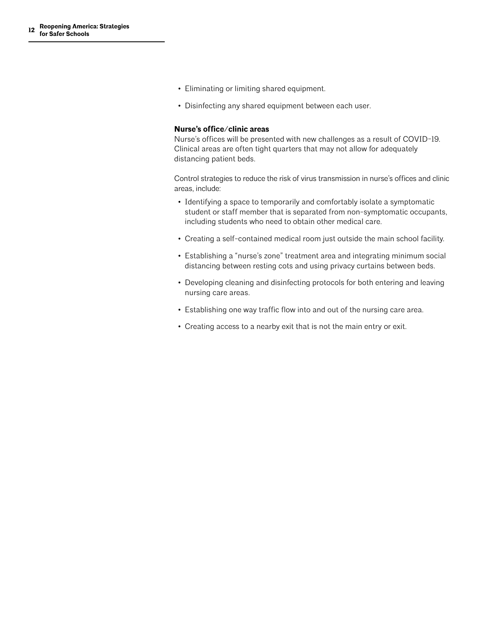- Eliminating or limiting shared equipment.
- Disinfecting any shared equipment between each user.

#### **Nurse's office/clinic areas**

Nurse's offices will be presented with new challenges as a result of COVID-19. Clinical areas are often tight quarters that may not allow for adequately distancing patient beds.

Control strategies to reduce the risk of virus transmission in nurse's offices and clinic areas, include:

- Identifying a space to temporarily and comfortably isolate a symptomatic student or staff member that is separated from non-symptomatic occupants, including students who need to obtain other medical care.
- Creating a self-contained medical room just outside the main school facility.
- Establishing a "nurse's zone" treatment area and integrating minimum social distancing between resting cots and using privacy curtains between beds.
- Developing cleaning and disinfecting protocols for both entering and leaving nursing care areas.
- Establishing one way traffic flow into and out of the nursing care area.
- Creating access to a nearby exit that is not the main entry or exit.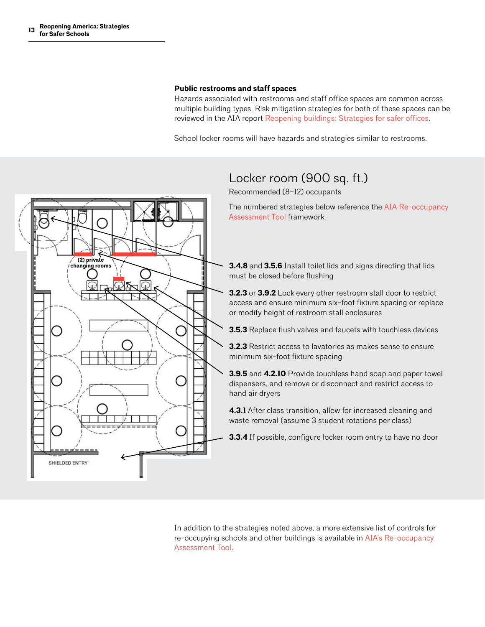#### **Public restrooms and staff spaces**

Hazards associated with restrooms and staff office spaces are common across multiple building types. Risk mitigation strategies for both of these spaces can be reviewed in the AIA report [Reopening buildings: Strategies for safer offices](https://www.aia.org/resources/6301958-reopening-america-strategies-for-safer-off?editing=true&tools=true).

School locker rooms will have hazards and strategies similar to restrooms.



### Locker room (900 sq. ft.)

Recommended (8–12) occupants

The numbered strategies below reference the [AIA Re-occupancy](https://www.aia.org/resources/6292441-re-occupancy-assessment-tool)  [Assessment](https://www.aia.org/resources/6292441-re-occupancy-assessment-tool) Tool framework.

**3.4.8** and **3.5.6** Install toilet lids and signs directing that lids must be closed before flushing

**3.2.3** or **3.9.2** Lock every other restroom stall door to restrict access and ensure minimum six-foot fixture spacing or replace or modify height of restroom stall enclosures

**3.5.3** Replace flush valves and faucets with touchless devices

**3.2.3** Restrict access to lavatories as makes sense to ensure minimum six-foot fixture spacing

**3.9.5** and **4.2.10** Provide touchless hand soap and paper towel dispensers, and remove or disconnect and restrict access to hand air dryers

**4.3.1** After class transition, allow for increased cleaning and waste removal (assume 3 student rotations per class)

**3.3.4** If possible, configure locker room entry to have no door

In addition to the strategies noted above, a more extensive list of controls for re-occupying schools and other buildings is available in [AIA's Re-occupancy](https://www.aia.org/resources/6292441-re-occupancy-assessment-tool)  [Assessment Tool](https://www.aia.org/resources/6292441-re-occupancy-assessment-tool).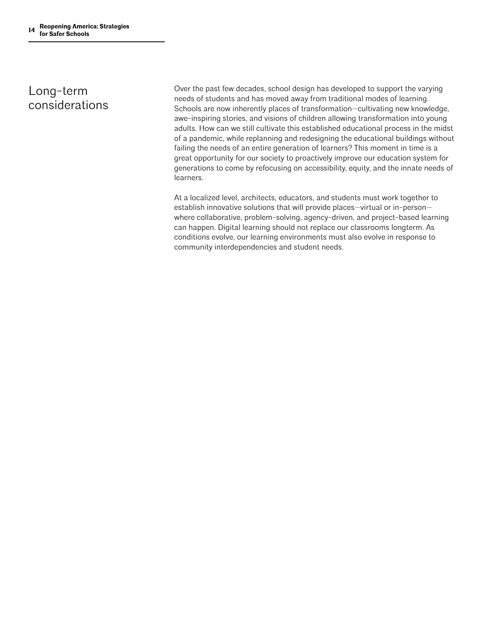### Long-term considerations

Over the past few decades, school design has developed to support the varying needs of students and has moved away from traditional modes of learning. Schools are now inherently places of transformation—cultivating new knowledge, awe-inspiring stories, and visions of children allowing transformation into young adults. How can we still cultivate this established educational process in the midst of a pandemic, while replanning and redesigning the educational buildings without failing the needs of an entire generation of learners? This moment in time is a great opportunity for our society to proactively improve our education system for generations to come by refocusing on accessibility, equity, and the innate needs of learners.

At a localized level, architects, educators, and students must work together to establish innovative solutions that will provide places—virtual or in-person where collaborative, problem-solving, agency-driven, and project-based learning can happen. Digital learning should not replace our classrooms longterm. As conditions evolve, our learning environments must also evolve in response to community interdependencies and student needs.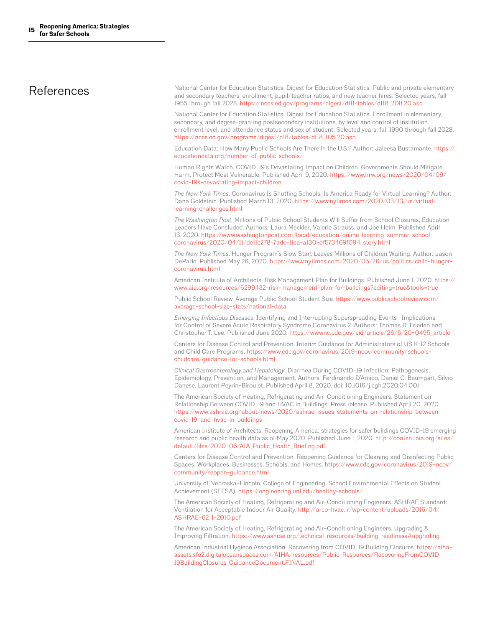### References

National Center for Education Statistics. Digest for Education Statistics. Public and private elementary and secondary teachers, enrollment, pupil/teacher ratios, and new teacher hires: Selected years, fall 1955 through fall 2028. [https://nces.ed.gov/programs/digest/d18/tables/dt18\\_208.20.asp](https://nces.ed.gov/programs/digest/d18/tables/dt18_208.20.asp)

National Center for Education Statistics. Digest for Education Statistics. Enrollment in elementary, secondary, and degree-granting postsecondary institutions, by level and control of institution, enrollment level, and attendance status and sex of student: Selected years, fall 1990 through fall 2028. [https://nces.ed.gov/programs/digest/d18/tables/dt18\\_105.20.asp](https://nces.ed.gov/programs/digest/d18/tables/dt18_105.20.asp)

Education Data: How Many Public Schools Are There in the U.S.? Author: Jaleesa Bustamante. [https://](https://educationdata.org/number-of-public-schools/) [educationdata.org/number-of-public-schools/](https://educationdata.org/number-of-public-schools/)

Human Rights Watch. COVID-19's Devastating Impact on Children. Governments Should Mitigate Harm, Protect Most Vulnerable. Published April 9, 2020. [https://www.hrw.org/news/2020/04/09/](https://www.hrw.org/news/2020/04/09/covid-19s-devastating-impact-children) [covid-19s-devastating-impact-children](https://www.hrw.org/news/2020/04/09/covid-19s-devastating-impact-children)

*The New York Times*. Coronavirus Is Shutting Schools. Is America Ready for Virtual Learning? Author: Dana Goldstein. Published March 13, 2020. [https://www.nytimes.com/2020/03/13/us/virtual](https://www.nytimes.com/2020/03/13/us/virtual-learning-challenges.html)[learning-challenges.html](https://www.nytimes.com/2020/03/13/us/virtual-learning-challenges.html)

*The Washington Post*. Millions of Public School Students Will Suffer from School Closures, Education Leaders Have Concluded. Authors: Laura Meckler, Valerie Strauss, and Joe Heim. Published April 13, 2020. [https://www.washingtonpost.com/local/education/online-learning-summer-school](https://www.washingtonpost.com/local/education/online-learning-summer-school-coronavirus/2020/04/11/de11c278-7adc-11ea-a130-df573469f094_story.html)[coronavirus/2020/04/11/de11c278-7adc-11ea-a130-df573469f094\\_story.html](https://www.washingtonpost.com/local/education/online-learning-summer-school-coronavirus/2020/04/11/de11c278-7adc-11ea-a130-df573469f094_story.html)

*The New York Times*. Hunger Program's Slow Start Leaves Millions of Children Waiting. Author: Jason DeParle. Published May 26, 2020. [https://www.nytimes.com/2020/05/26/us/politics/child-hunger](https://www.nytimes.com/2020/05/26/us/politics/child-hunger-coronavirus.html)[coronavirus.html](https://www.nytimes.com/2020/05/26/us/politics/child-hunger-coronavirus.html)

American Institute of Architects. Risk Management Plan for Buildings. Published June 1, 2020. [https://](https://www.aia.org/resources/6299432-risk-management-plan-for-buildings?editing=true&tools=true) [www.aia.org/resources/6299432-risk-management-plan-for-buildings?editing=true&tools=true](https://www.aia.org/resources/6299432-risk-management-plan-for-buildings?editing=true&tools=true)

Public School Review. Average Public School Student Size. [https://www.publicschoolreview.com/](https://www.publicschoolreview.com/average-school-size-stats/national-data) [average-school-size-stats/national-data](https://www.publicschoolreview.com/average-school-size-stats/national-data)

*Emerging Infectious Diseases*. Identifying and Interrupting Superspreading Events—Implications for Control of Severe Acute Respiratory Syndrome Coronavirus 2. Authors: Thomas R. Frieden and Christopher T. Lee. Published June 2020. [https://wwwnc.cdc.gov/eid/article/26/6/20-0495\\_article](https://wwwnc.cdc.gov/eid/article/26/6/20-0495_article)

Centers for Disease Control and Prevention. Interim Guidance for Administrators of US K-12 Schools and Child Care Programs. [https://www.cdc.gov/coronavirus/2019-ncov/community/schools](https://www.cdc.gov/coronavirus/2019-ncov/community/schools-childcare/guidance-for-schools.html)[childcare/guidance-for-schools.html](https://www.cdc.gov/coronavirus/2019-ncov/community/schools-childcare/guidance-for-schools.html)

*Clinical Gastroenterology and Hepatology*. Diarrhea During COVID-19 Infection: Pathogenesis, Epidemiology, Prevention, and Management. Authors: Ferdinando D'Amico, Daniel C. Baumgart, Silvio Danese, Laurent Peyrin-Biroulet. Published April 8, 2020. doi: 10.1016/j.cgh.2020.04.001

The American Society of Heating, Refrigerating and Air-Conditioning Engineers. Statement on Relationship Between COVID-19 and HVAC in Buildings. Press release. Published April 20, 2020. [https://www.ashrae.org/about/news/2020/ashrae-issues-statements-on-relationship-between](https://www.ashrae.org/about/news/2020/ashrae-issues-statements-on-relationship-between-covid-19-and-hvac-in-buildings)[covid-19-and-hvac-in-buildings](https://www.ashrae.org/about/news/2020/ashrae-issues-statements-on-relationship-between-covid-19-and-hvac-in-buildings)

American Institute of Architects. Reopening America: strategies for safer buildings COVID-19 emerging research and public health data as of May 2020. Published June 1, 2020. [http://content.aia.org/sites/](http://content.aia.org/sites/default/files/2020-06/AIA_Public_Health_Briefing.pdf) [default/files/2020-06/AIA\\_Public\\_Health\\_Briefing.pdf](http://content.aia.org/sites/default/files/2020-06/AIA_Public_Health_Briefing.pdf)

Centers for Disease Control and Prevention. Reopening Guidance for Cleaning and Disinfecting Public Spaces, Workplaces, Businesses, Schools, and Homes. [https://www.cdc.gov/coronavirus/2019-ncov/](https://www.cdc.gov/coronavirus/2019-ncov/community/reopen-guidance.html) [community/reopen-guidance.html](https://www.cdc.gov/coronavirus/2019-ncov/community/reopen-guidance.html)

University of Nebraska–Lincoln, College of Engineering. School Environmental Effects on Student Achievement (SEESA). <https://engineering.unl.edu/healthy-schools/>

The American Society of Heating, Refrigerating and Air-Conditioning Engineers. ASHRAE Standard: Ventilation for Acceptable Indoor Air Quality. [http://arco-hvac.ir/wp-content/uploads/2016/04/](http://arco-hvac.ir/wp-content/uploads/2016/04/ASHRAE-62_1-2010.pdf) [ASHRAE-62\\_1-2010.pdf](http://arco-hvac.ir/wp-content/uploads/2016/04/ASHRAE-62_1-2010.pdf)

The American Society of Heating, Refrigerating and Air-Conditioning Engineers. Upgrading & Improving Filtration. <https://www.ashrae.org/technical-resources/building-readiness#upgrading>

American Industrial Hygiene Association. Recovering from COVID-19 Building Closures. [https://aiha](https://aiha-assets.sfo2.digitaloceanspaces.com/AIHA/resources/Public-Resources/RecoveringFromCOVID-19BuildingClosures_GuidanceDocument.FINAL.pdf)[assets.sfo2.digitaloceanspaces.com/AIHA/resources/Public-Resources/RecoveringFromCOVID-](https://aiha-assets.sfo2.digitaloceanspaces.com/AIHA/resources/Public-Resources/RecoveringFromCOVID-19BuildingClosures_GuidanceDocument.FINAL.pdf)[19BuildingClosures\\_GuidanceDocument.FINAL.pdf](https://aiha-assets.sfo2.digitaloceanspaces.com/AIHA/resources/Public-Resources/RecoveringFromCOVID-19BuildingClosures_GuidanceDocument.FINAL.pdf)